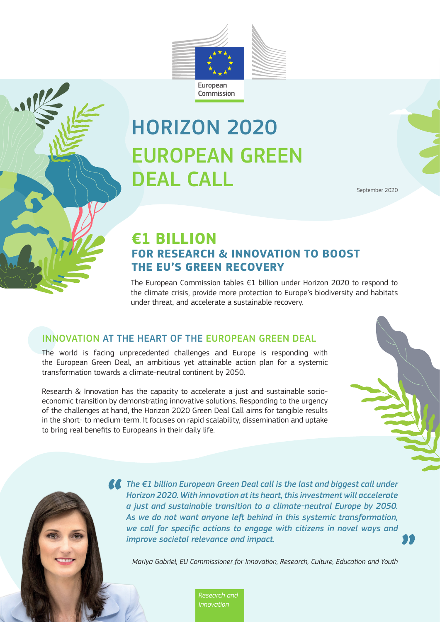

# HORIZON 2020 EUROPEAN GREEN DEAL CALL

September 2020

## **€1 BILLION FOR RESEARCH & INNOVATION TO BOOST THE EU'S GREEN RECOVERY**

The European Commission tables €1 billion under Horizon 2020 to respond to the climate crisis, provide more protection to Europe's biodiversity and habitats under threat, and accelerate a sustainable recovery.

#### INNOVATION AT THE HEART OF THE EUROPEAN GREEN DEAL

The world is facing unprecedented challenges and Europe is responding with the European Green Deal, an ambitious yet attainable action plan for a systemic transformation towards a climate-neutral continent by 2050.

Research & Innovation has the capacity to accelerate a just and sustainable socioeconomic transition by demonstrating innovative solutions. Responding to the urgency of the challenges at hand, the Horizon 2020 Green Deal Call aims for tangible results in the short- to medium-term. It focuses on rapid scalability, dissemination and uptake to bring real benefits to Europeans in their daily life.

> *The €1 billion European Green Deal call is the last and biggest call under Horizon 2020. With innovation at its heart, this investment will accelerate a just and sustainable transition to a climate-neutral Europe by 2050. As we do not want anyone left behind in this systemic transformation, we call for specific actions to engage with citizens in novel ways and improve societal relevance and impact.*

*Mariya Gabriel, EU Commissioner for Innovation, Research, Culture, Education and Youth*

*Research and Innovation*